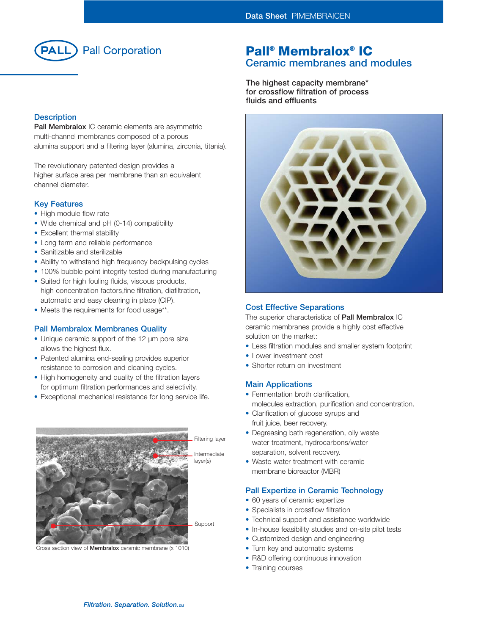

## **Description**

**Pall Membralox** IC ceramic elements are asymmetric multi-channel membranes composed of a porous alumina support and a filtering layer (alumina, zirconia, titania).

The revolutionary patented design provides a higher surface area per membrane than an equivalent channel diameter.

## **Key Features**

- High module flow rate
- Wide chemical and pH (0-14) compatibility
- Excellent thermal stability
- Long term and reliable performance
- Sanitizable and sterilizable
- Ability to withstand high frequency backpulsing cycles
- 100% bubble point integrity tested during manufacturing
- Suited for high fouling fluids, viscous products, high concentration factors,fine filtration, diafiltration, automatic and easy cleaning in place (CIP).
- Meets the requirements for food usage\*\*.

## **Pall Membralox Membranes Quality**

- Unique ceramic support of the 12 µm pore size allows the highest flux.
- Patented alumina end-sealing provides superior resistance to corrosion and cleaning cycles.
- High homogeneity and quality of the filtration layers for optimum filtration performances and selectivity.
- Exceptional mechanical resistance for long service life.



Cross section view of **Membralox** ceramic membrane (x 1010)

## **Pall® Membralox® IC Ceramic membranes and modules**

**The highest capacity membrane\* for crossflow filtration of process fluids and effluents**



## **Cost Effective Separations**

The superior characteristics of **Pall Membralox** IC ceramic membranes provide a highly cost effective solution on the market:

- Less filtration modules and smaller system footprint
- Lower investment cost
- Shorter return on investment

## **Main Applications**

- Fermentation broth clarification. molecules extraction, purification and concentration.
- Clarification of glucose syrups and fruit juice, beer recovery.
- Degreasing bath regeneration, oily waste water treatment, hydrocarbons/water separation, solvent recovery.
- Waste water treatment with ceramic membrane bioreactor (MBR)

## **Pall Expertize in Ceramic Technology**

- 60 years of ceramic expertize
- Specialists in crossflow filtration
- Technical support and assistance worldwide
- In-house feasibility studies and on-site pilot tests
- Customized design and engineering
- Turn key and automatic systems
- R&D offering continuous innovation
- Training courses